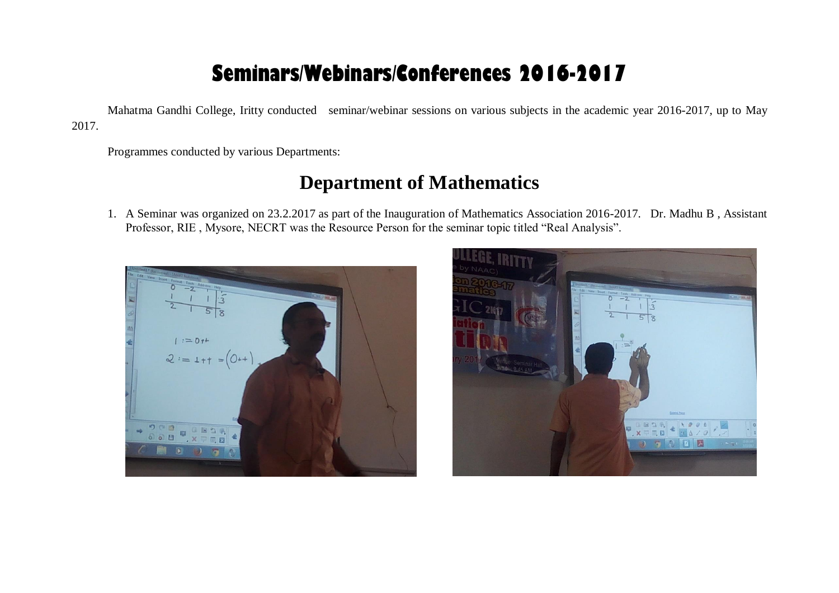# **Seminars/Webinars/Conferences 2016-2017**

Mahatma Gandhi College, Iritty conducted seminar/webinar sessions on various subjects in the academic year 2016-2017, up to May 2017.

Programmes conducted by various Departments:

## **Department of Mathematics**

1. A Seminar was organized on 23.2.2017 as part of the Inauguration of Mathematics Association 2016-2017. Dr. Madhu B , Assistant Professor, RIE , Mysore, NECRT was the Resource Person for the seminar topic titled "Real Analysis".



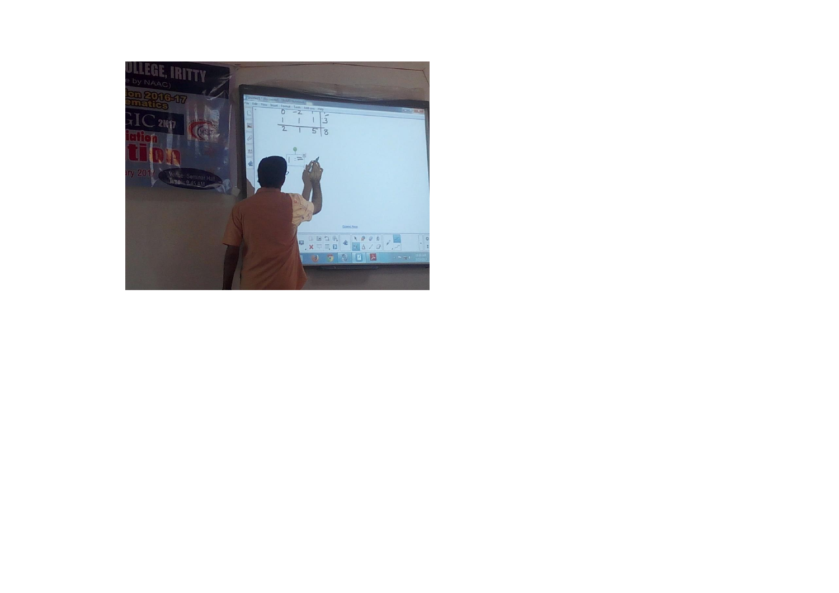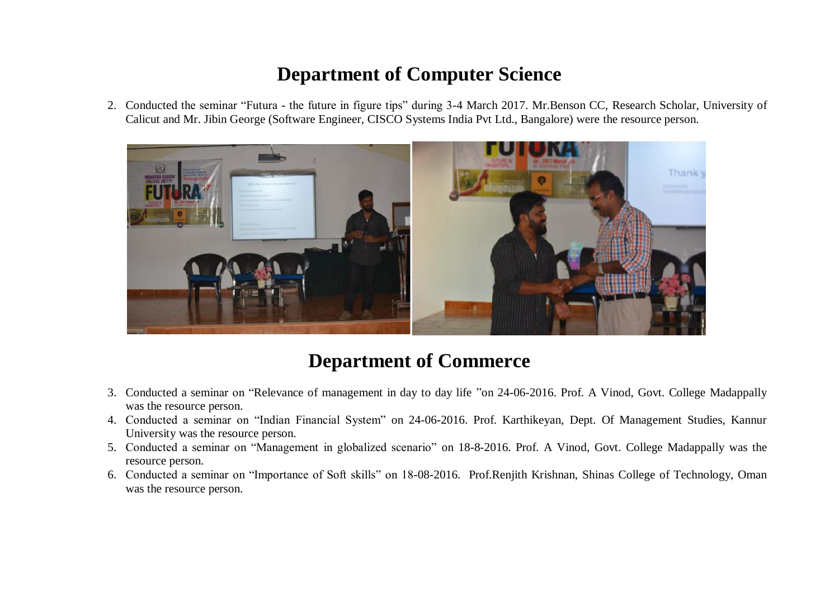### **Department of Computer Science**

2. Conducted the seminar "Futura - the future in figure tips" during 3-4 March 2017. Mr.Benson CC, Research Scholar, University of Calicut and Mr. Jibin George (Software Engineer, CISCO Systems India Pvt Ltd., Bangalore) were the resource person.



#### **Department of Commerce**

- 3. Conducted a seminar on "Relevance of management in day to day life "on 24-06-2016. Prof. A Vinod, Govt. College Madappally was the resource person.
- 4. Conducted a seminar on "Indian Financial System" on 24-06-2016. Prof. Karthikeyan, Dept. Of Management Studies, Kannur University was the resource person.
- 5. Conducted a seminar on "Management in globalized scenario" on 18-8-2016. Prof. A Vinod, Govt. College Madappally was the resource person.
- 6. Conducted a seminar on "Importance of Soft skills" on 18-08-2016. Prof.Renjith Krishnan, Shinas College of Technology, Oman was the resource person.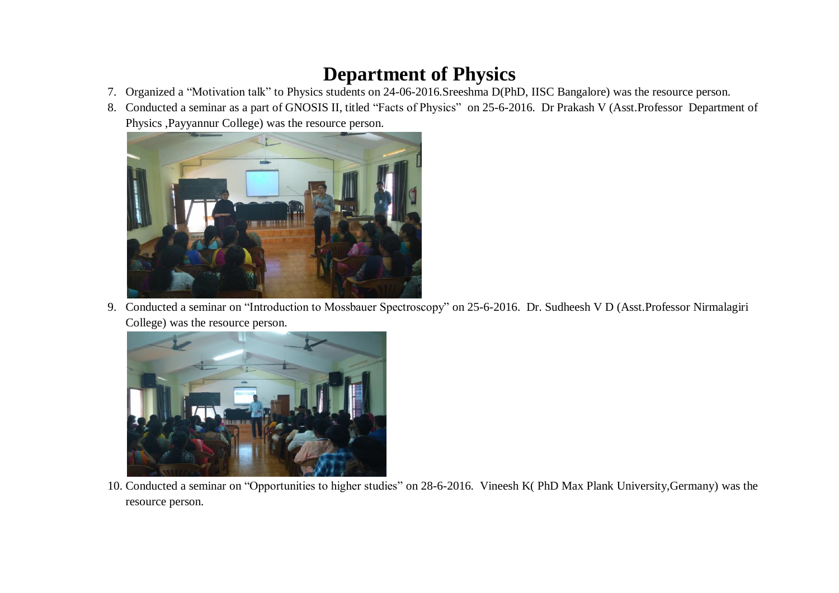## **Department of Physics**

- 7. Organized a "Motivation talk" to Physics students on 24-06-2016.Sreeshma D(PhD, IISC Bangalore) was the resource person.
- 8. Conducted a seminar as a part of GNOSIS II, titled "Facts of Physics" on 25-6-2016. Dr Prakash V (Asst.Professor Department of Physics ,Payyannur College) was the resource person.



9. Conducted a seminar on "Introduction to Mossbauer Spectroscopy" on 25-6-2016. Dr. Sudheesh V D (Asst.Professor Nirmalagiri College) was the resource person.



10. Conducted a seminar on "Opportunities to higher studies" on 28-6-2016. Vineesh K( PhD Max Plank University,Germany) was the resource person.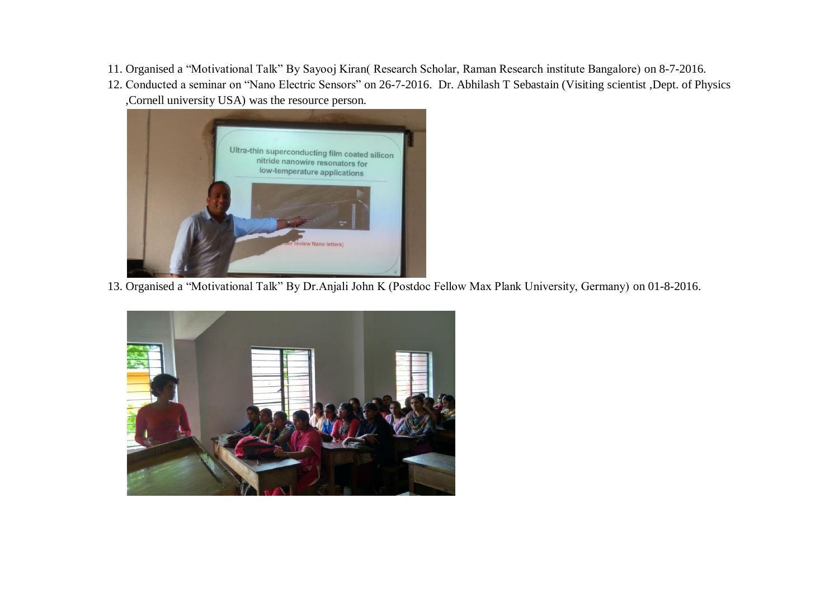- 11. Organised a "Motivational Talk" By Sayooj Kiran( Research Scholar, Raman Research institute Bangalore) on 8-7-2016.
- 12. Conducted a seminar on "Nano Electric Sensors" on 26-7-2016. Dr. Abhilash T Sebastain (Visiting scientist ,Dept. of Physics ,Cornell university USA) was the resource person.



13. Organised a "Motivational Talk" By Dr.Anjali John K (Postdoc Fellow Max Plank University, Germany) on 01-8-2016.

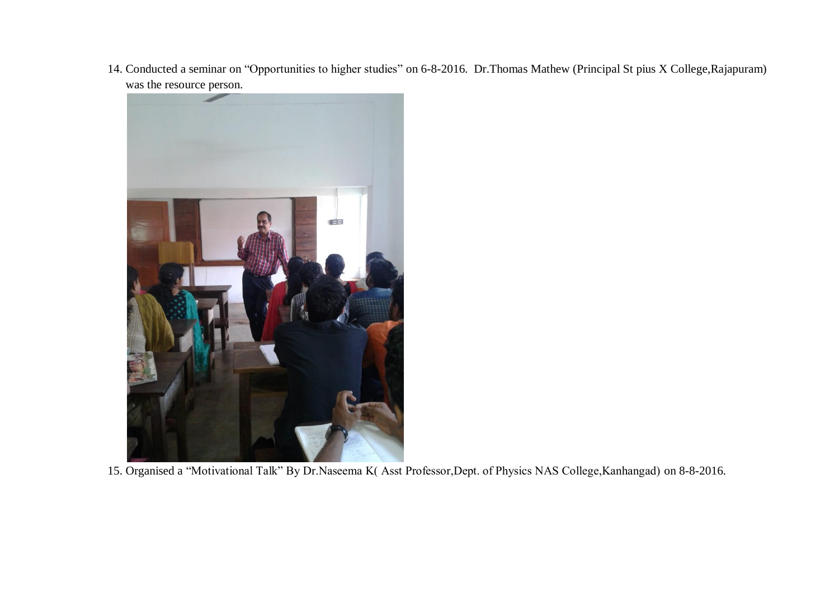14. Conducted a seminar on "Opportunities to higher studies" on 6-8-2016. Dr.Thomas Mathew (Principal St pius X College,Rajapuram) was the resource person.



15. Organised a "Motivational Talk" By Dr.Naseema K( Asst Professor,Dept. of Physics NAS College,Kanhangad) on 8-8-2016.